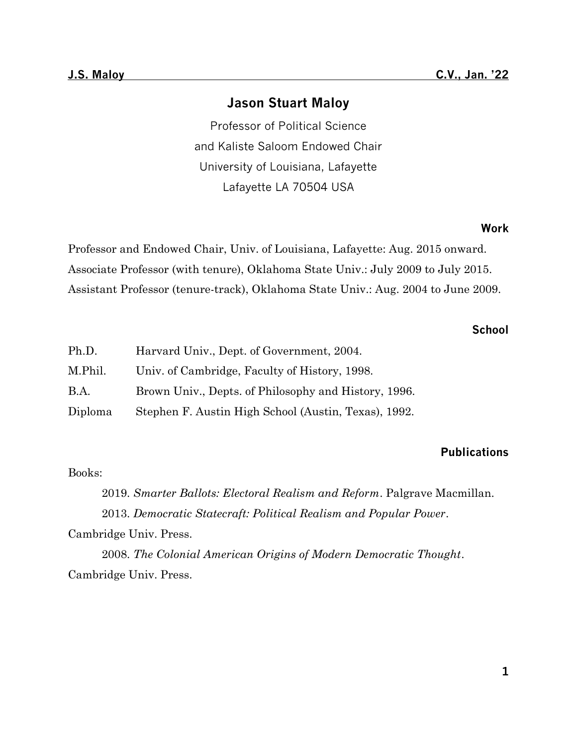# **Jason Stuart Maloy**

Professor of Political Science and Kaliste Saloom Endowed Chair University of Louisiana, Lafayette Lafayette LA 70504 USA

### **Work**

Professor and Endowed Chair, Univ. of Louisiana, Lafayette: Aug. 2015 onward. Associate Professor (with tenure), Oklahoma State Univ.: July 2009 to July 2015. Assistant Professor (tenure-track), Oklahoma State Univ.: Aug. 2004 to June 2009.

# **School**

| Ph.D.       | Harvard Univ., Dept. of Government, 2004.            |
|-------------|------------------------------------------------------|
| M.Phil.     | Univ. of Cambridge, Faculty of History, 1998.        |
| <b>B.A.</b> | Brown Univ., Depts. of Philosophy and History, 1996. |
| Diploma     | Stephen F. Austin High School (Austin, Texas), 1992. |

# **Publications**

## Books:

2019. *Smarter Ballots: Electoral Realism and Reform*. Palgrave Macmillan. 2013. *Democratic Statecraft: Political Realism and Popular Power*. Cambridge Univ. Press.

2008. *The Colonial American Origins of Modern Democratic Thought*. Cambridge Univ. Press.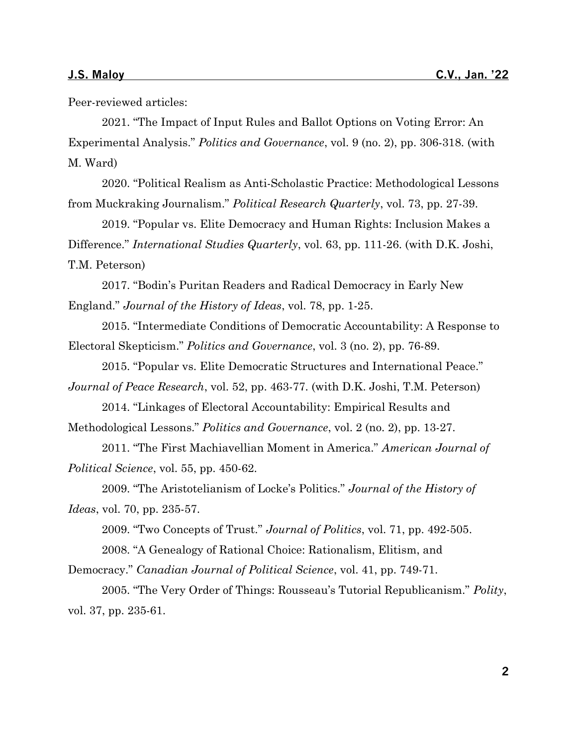Peer-reviewed articles:

2021. "The Impact of Input Rules and Ballot Options on Voting Error: An Experimental Analysis." *Politics and Governance*, vol. 9 (no. 2), pp. 306-318. (with M. Ward)

2020. "Political Realism as Anti-Scholastic Practice: Methodological Lessons from Muckraking Journalism." *Political Research Quarterly*, vol. 73, pp. 27-39.

2019. "Popular vs. Elite Democracy and Human Rights: Inclusion Makes a Difference." *International Studies Quarterly*, vol. 63, pp. 111-26. (with D.K. Joshi, T.M. Peterson)

2017. "Bodin's Puritan Readers and Radical Democracy in Early New England." *Journal of the History of Ideas*, vol. 78, pp. 1-25.

2015. "Intermediate Conditions of Democratic Accountability: A Response to Electoral Skepticism." *Politics and Governance*, vol. 3 (no. 2), pp. 76-89.

2015. "Popular vs. Elite Democratic Structures and International Peace." *Journal of Peace Research*, vol. 52, pp. 463-77. (with D.K. Joshi, T.M. Peterson)

2014. "Linkages of Electoral Accountability: Empirical Results and Methodological Lessons." *Politics and Governance*, vol. 2 (no. 2), pp. 13-27.

2011. "The First Machiavellian Moment in America." *American Journal of Political Science*, vol. 55, pp. 450-62.

2009. "The Aristotelianism of Locke's Politics." *Journal of the History of Ideas*, vol. 70, pp. 235-57.

2009. "Two Concepts of Trust." *Journal of Politics*, vol. 71, pp. 492-505.

2008. "A Genealogy of Rational Choice: Rationalism, Elitism, and

Democracy." *Canadian Journal of Political Science*, vol. 41, pp. 749-71.

2005. "The Very Order of Things: Rousseau's Tutorial Republicanism." *Polity*, vol. 37, pp. 235-61.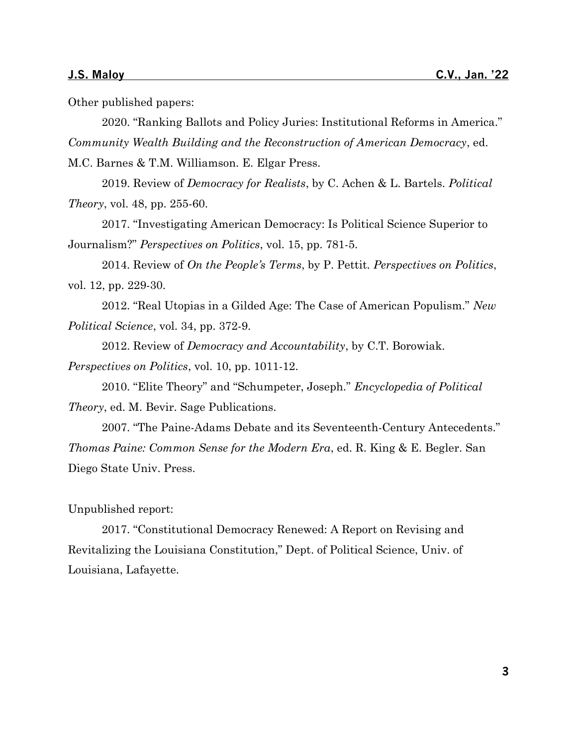Other published papers:

2020. "Ranking Ballots and Policy Juries: Institutional Reforms in America." *Community Wealth Building and the Reconstruction of American Democracy*, ed. M.C. Barnes & T.M. Williamson. E. Elgar Press.

2019. Review of *Democracy for Realists*, by C. Achen & L. Bartels. *Political Theory*, vol. 48, pp. 255-60.

2017. "Investigating American Democracy: Is Political Science Superior to Journalism?" *Perspectives on Politics*, vol. 15, pp. 781-5.

2014. Review of *On the People's Terms*, by P. Pettit. *Perspectives on Politics*, vol. 12, pp. 229-30.

2012. "Real Utopias in a Gilded Age: The Case of American Populism." *New Political Science*, vol. 34, pp. 372-9.

2012. Review of *Democracy and Accountability*, by C.T. Borowiak.

*Perspectives on Politics*, vol. 10, pp. 1011-12.

2010. "Elite Theory" and "Schumpeter, Joseph." *Encyclopedia of Political Theory*, ed. M. Bevir. Sage Publications.

2007. "The Paine-Adams Debate and its Seventeenth-Century Antecedents." *Thomas Paine: Common Sense for the Modern Era*, ed. R. King & E. Begler. San Diego State Univ. Press.

Unpublished report:

2017. "Constitutional Democracy Renewed: A Report on Revising and Revitalizing the Louisiana Constitution," Dept. of Political Science, Univ. of Louisiana, Lafayette.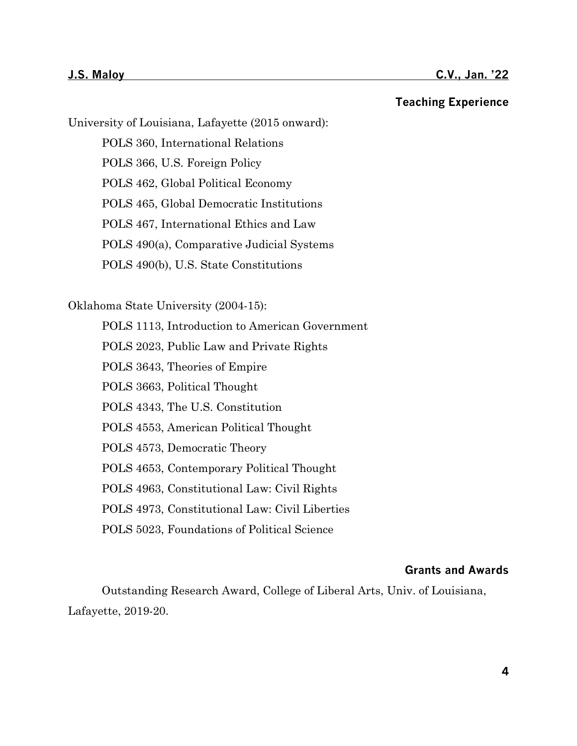**Teaching Experience**

University of Louisiana, Lafayette (2015 onward):

POLS 360, International Relations POLS 366, U.S. Foreign Policy POLS 462, Global Political Economy POLS 465, Global Democratic Institutions POLS 467, International Ethics and Law POLS 490(a), Comparative Judicial Systems POLS 490(b), U.S. State Constitutions

Oklahoma State University (2004-15):

POLS 1113, Introduction to American Government

POLS 2023, Public Law and Private Rights

POLS 3643, Theories of Empire

POLS 3663, Political Thought

POLS 4343, The U.S. Constitution

POLS 4553, American Political Thought

POLS 4573, Democratic Theory

POLS 4653, Contemporary Political Thought

POLS 4963, Constitutional Law: Civil Rights

POLS 4973, Constitutional Law: Civil Liberties

POLS 5023, Foundations of Political Science

# **Grants and Awards**

Outstanding Research Award, College of Liberal Arts, Univ. of Louisiana, Lafayette, 2019-20.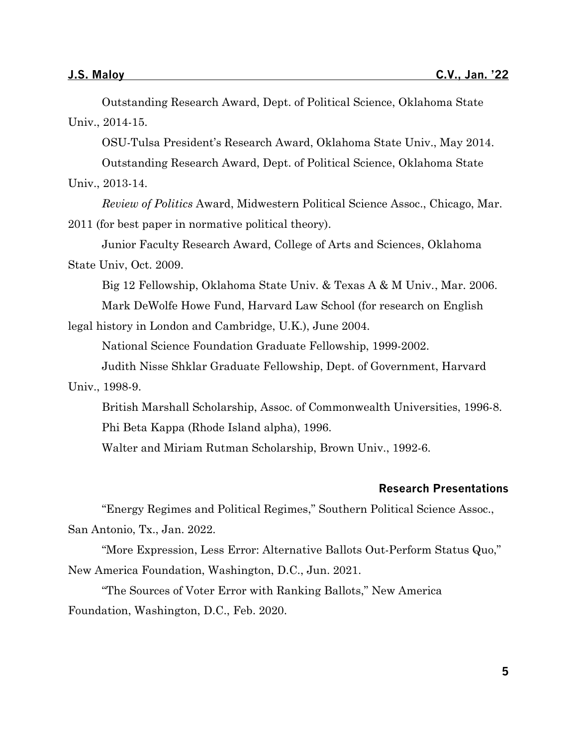Outstanding Research Award, Dept. of Political Science, Oklahoma State Univ., 2014-15.

OSU-Tulsa President's Research Award, Oklahoma State Univ., May 2014.

Outstanding Research Award, Dept. of Political Science, Oklahoma State

Univ., 2013-14.

*Review of Politics* Award, Midwestern Political Science Assoc., Chicago, Mar. 2011 (for best paper in normative political theory).

Junior Faculty Research Award, College of Arts and Sciences, Oklahoma State Univ, Oct. 2009.

Big 12 Fellowship, Oklahoma State Univ. & Texas A & M Univ., Mar. 2006.

Mark DeWolfe Howe Fund, Harvard Law School (for research on English legal history in London and Cambridge, U.K.), June 2004.

National Science Foundation Graduate Fellowship, 1999-2002.

Judith Nisse Shklar Graduate Fellowship, Dept. of Government, Harvard

Univ., 1998-9.

British Marshall Scholarship, Assoc. of Commonwealth Universities, 1996-8. Phi Beta Kappa (Rhode Island alpha), 1996.

Walter and Miriam Rutman Scholarship, Brown Univ., 1992-6.

## **Research Presentations**

"Energy Regimes and Political Regimes," Southern Political Science Assoc., San Antonio, Tx., Jan. 2022.

"More Expression, Less Error: Alternative Ballots Out-Perform Status Quo," New America Foundation, Washington, D.C., Jun. 2021.

"The Sources of Voter Error with Ranking Ballots," New America Foundation, Washington, D.C., Feb. 2020.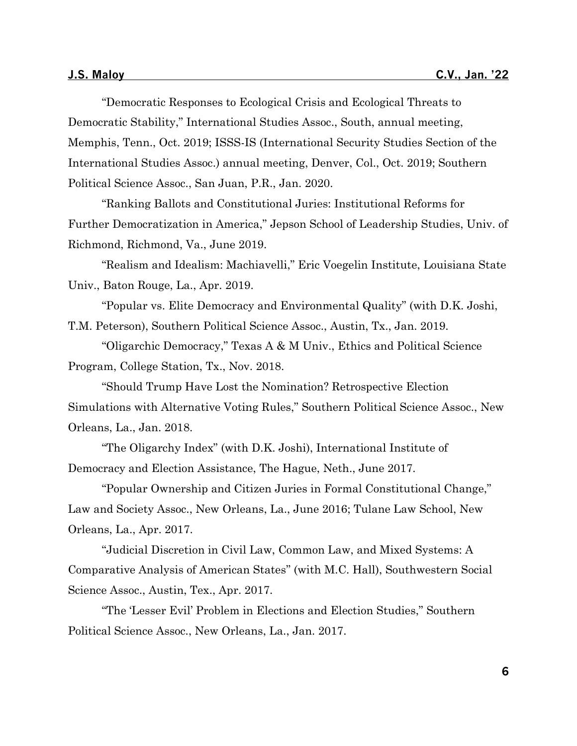"Democratic Responses to Ecological Crisis and Ecological Threats to Democratic Stability," International Studies Assoc., South, annual meeting, Memphis, Tenn., Oct. 2019; ISSS-IS (International Security Studies Section of the International Studies Assoc.) annual meeting, Denver, Col., Oct. 2019; Southern Political Science Assoc., San Juan, P.R., Jan. 2020.

"Ranking Ballots and Constitutional Juries: Institutional Reforms for Further Democratization in America," Jepson School of Leadership Studies, Univ. of Richmond, Richmond, Va., June 2019.

"Realism and Idealism: Machiavelli," Eric Voegelin Institute, Louisiana State Univ., Baton Rouge, La., Apr. 2019.

"Popular vs. Elite Democracy and Environmental Quality" (with D.K. Joshi, T.M. Peterson), Southern Political Science Assoc., Austin, Tx., Jan. 2019.

"Oligarchic Democracy," Texas A & M Univ., Ethics and Political Science Program, College Station, Tx., Nov. 2018.

"Should Trump Have Lost the Nomination? Retrospective Election Simulations with Alternative Voting Rules," Southern Political Science Assoc., New Orleans, La., Jan. 2018.

"The Oligarchy Index" (with D.K. Joshi), International Institute of Democracy and Election Assistance, The Hague, Neth., June 2017.

"Popular Ownership and Citizen Juries in Formal Constitutional Change," Law and Society Assoc., New Orleans, La., June 2016; Tulane Law School, New Orleans, La., Apr. 2017.

"Judicial Discretion in Civil Law, Common Law, and Mixed Systems: A Comparative Analysis of American States" (with M.C. Hall), Southwestern Social Science Assoc., Austin, Tex., Apr. 2017.

"The 'Lesser Evil' Problem in Elections and Election Studies," Southern Political Science Assoc., New Orleans, La., Jan. 2017.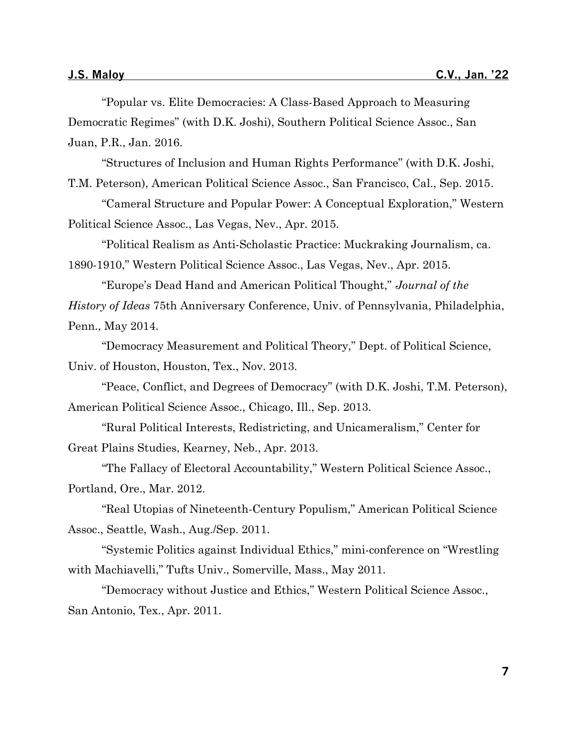"Popular vs. Elite Democracies: A Class-Based Approach to Measuring Democratic Regimes" (with D.K. Joshi), Southern Political Science Assoc., San Juan, P.R., Jan. 2016.

"Structures of Inclusion and Human Rights Performance" (with D.K. Joshi,

T.M. Peterson), American Political Science Assoc., San Francisco, Cal., Sep. 2015.

"Cameral Structure and Popular Power: A Conceptual Exploration," Western Political Science Assoc., Las Vegas, Nev., Apr. 2015.

"Political Realism as Anti-Scholastic Practice: Muckraking Journalism, ca. 1890-1910," Western Political Science Assoc., Las Vegas, Nev., Apr. 2015.

"Europe's Dead Hand and American Political Thought," *Journal of the History of Ideas* 75th Anniversary Conference, Univ. of Pennsylvania, Philadelphia, Penn., May 2014.

"Democracy Measurement and Political Theory," Dept. of Political Science, Univ. of Houston, Houston, Tex., Nov. 2013.

"Peace, Conflict, and Degrees of Democracy" (with D.K. Joshi, T.M. Peterson), American Political Science Assoc., Chicago, Ill., Sep. 2013.

"Rural Political Interests, Redistricting, and Unicameralism," Center for Great Plains Studies, Kearney, Neb., Apr. 2013.

"The Fallacy of Electoral Accountability," Western Political Science Assoc., Portland, Ore., Mar. 2012.

"Real Utopias of Nineteenth-Century Populism," American Political Science Assoc., Seattle, Wash., Aug./Sep. 2011.

"Systemic Politics against Individual Ethics," mini-conference on "Wrestling with Machiavelli," Tufts Univ., Somerville, Mass., May 2011.

"Democracy without Justice and Ethics," Western Political Science Assoc., San Antonio, Tex., Apr. 2011.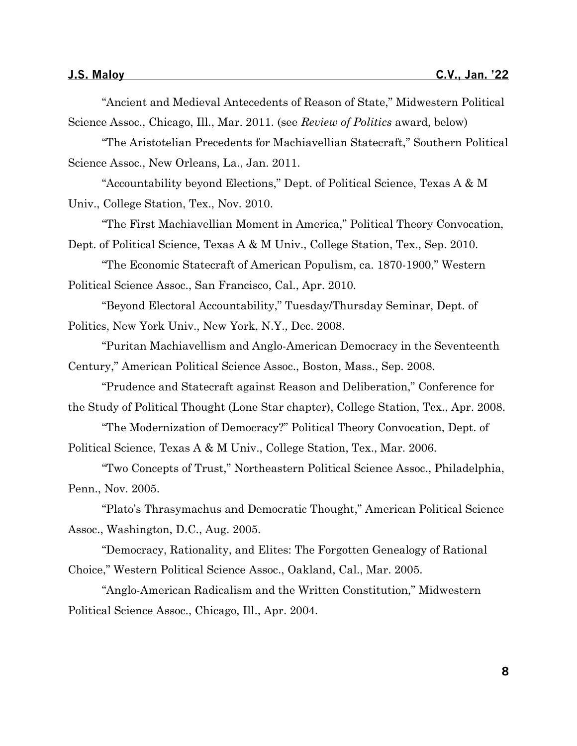"Ancient and Medieval Antecedents of Reason of State," Midwestern Political Science Assoc., Chicago, Ill., Mar. 2011. (see *Review of Politics* award, below) "The Aristotelian Precedents for Machiavellian Statecraft," Southern Political Science Assoc., New Orleans, La., Jan. 2011. "Accountability beyond Elections," Dept. of Political Science, Texas A & M Univ., College Station, Tex., Nov. 2010. "The First Machiavellian Moment in America," Political Theory Convocation, Dept. of Political Science, Texas A & M Univ., College Station, Tex., Sep. 2010. "The Economic Statecraft of American Populism, ca. 1870-1900," Western Political Science Assoc., San Francisco, Cal., Apr. 2010. "Beyond Electoral Accountability," Tuesday/Thursday Seminar, Dept. of Politics, New York Univ., New York, N.Y., Dec. 2008. "Puritan Machiavellism and Anglo-American Democracy in the Seventeenth Century," American Political Science Assoc., Boston, Mass., Sep. 2008. "Prudence and Statecraft against Reason and Deliberation," Conference for the Study of Political Thought (Lone Star chapter), College Station, Tex., Apr. 2008. "The Modernization of Democracy?" Political Theory Convocation, Dept. of Political Science, Texas A & M Univ., College Station, Tex., Mar. 2006.

"Two Concepts of Trust," Northeastern Political Science Assoc., Philadelphia, Penn., Nov. 2005.

"Plato's Thrasymachus and Democratic Thought," American Political Science Assoc., Washington, D.C., Aug. 2005.

"Democracy, Rationality, and Elites: The Forgotten Genealogy of Rational Choice," Western Political Science Assoc., Oakland, Cal., Mar. 2005.

"Anglo-American Radicalism and the Written Constitution," Midwestern Political Science Assoc., Chicago, Ill., Apr. 2004.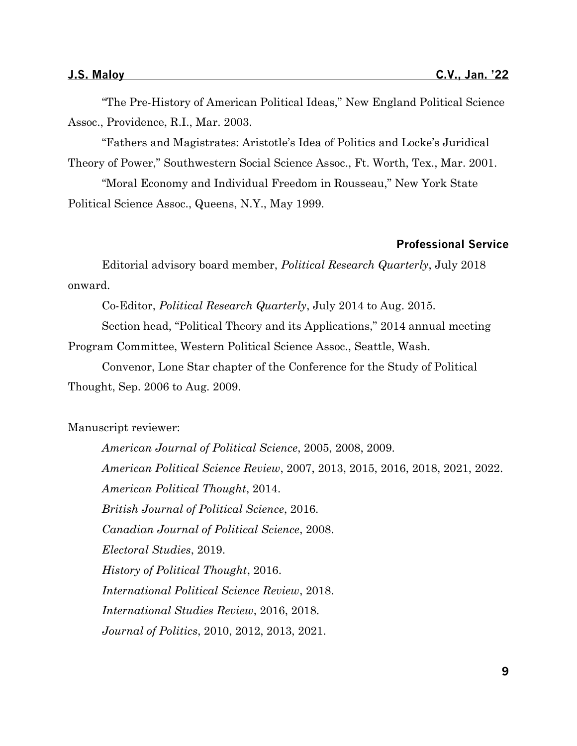"The Pre-History of American Political Ideas," New England Political Science Assoc., Providence, R.I., Mar. 2003.

"Fathers and Magistrates: Aristotle's Idea of Politics and Locke's Juridical Theory of Power," Southwestern Social Science Assoc., Ft. Worth, Tex., Mar. 2001.

"Moral Economy and Individual Freedom in Rousseau," New York State Political Science Assoc., Queens, N.Y., May 1999.

#### **Professional Service**

Editorial advisory board member, *Political Research Quarterly*, July 2018 onward.

Co-Editor, *Political Research Quarterly*, July 2014 to Aug. 2015.

Section head, "Political Theory and its Applications," 2014 annual meeting Program Committee, Western Political Science Assoc., Seattle, Wash.

Convenor, Lone Star chapter of the Conference for the Study of Political Thought, Sep. 2006 to Aug. 2009.

Manuscript reviewer:

*American Journal of Political Science*, 2005, 2008, 2009. *American Political Science Review*, 2007, 2013, 2015, 2016, 2018, 2021, 2022. *American Political Thought*, 2014. *British Journal of Political Science*, 2016. *Canadian Journal of Political Science*, 2008. *Electoral Studies*, 2019. *History of Political Thought*, 2016. *International Political Science Review*, 2018. *International Studies Review*, 2016, 2018. *Journal of Politics*, 2010, 2012, 2013, 2021.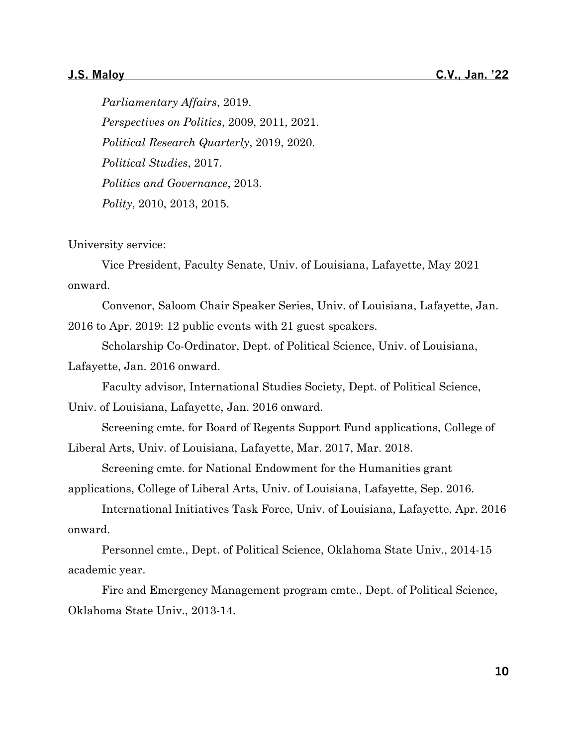*Parliamentary Affairs*, 2019. *Perspectives on Politics*, 2009, 2011, 2021. *Political Research Quarterly*, 2019, 2020. *Political Studies*, 2017. *Politics and Governance*, 2013. *Polity*, 2010, 2013, 2015.

University service:

Vice President, Faculty Senate, Univ. of Louisiana, Lafayette, May 2021 onward.

Convenor, Saloom Chair Speaker Series, Univ. of Louisiana, Lafayette, Jan. 2016 to Apr. 2019: 12 public events with 21 guest speakers.

Scholarship Co-Ordinator, Dept. of Political Science, Univ. of Louisiana, Lafayette, Jan. 2016 onward.

Faculty advisor, International Studies Society, Dept. of Political Science,

Univ. of Louisiana, Lafayette, Jan. 2016 onward.

Screening cmte. for Board of Regents Support Fund applications, College of Liberal Arts, Univ. of Louisiana, Lafayette, Mar. 2017, Mar. 2018.

Screening cmte. for National Endowment for the Humanities grant

applications, College of Liberal Arts, Univ. of Louisiana, Lafayette, Sep. 2016.

International Initiatives Task Force, Univ. of Louisiana, Lafayette, Apr. 2016 onward.

Personnel cmte., Dept. of Political Science, Oklahoma State Univ., 2014-15 academic year.

Fire and Emergency Management program cmte., Dept. of Political Science, Oklahoma State Univ., 2013-14.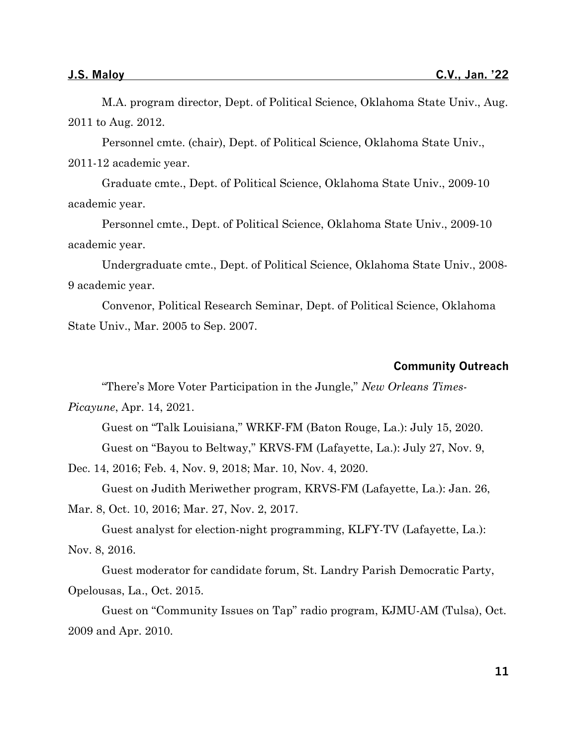M.A. program director, Dept. of Political Science, Oklahoma State Univ., Aug. 2011 to Aug. 2012.

Personnel cmte. (chair), Dept. of Political Science, Oklahoma State Univ., 2011-12 academic year.

Graduate cmte., Dept. of Political Science, Oklahoma State Univ., 2009-10 academic year.

Personnel cmte., Dept. of Political Science, Oklahoma State Univ., 2009-10 academic year.

Undergraduate cmte., Dept. of Political Science, Oklahoma State Univ., 2008- 9 academic year.

Convenor, Political Research Seminar, Dept. of Political Science, Oklahoma State Univ., Mar. 2005 to Sep. 2007.

#### **Community Outreach**

"There's More Voter Participation in the Jungle," *New Orleans Times-*

*Picayune*, Apr. 14, 2021.

Guest on "Talk Louisiana," WRKF-FM (Baton Rouge, La.): July 15, 2020. Guest on "Bayou to Beltway," KRVS-FM (Lafayette, La.): July 27, Nov. 9,

Dec. 14, 2016; Feb. 4, Nov. 9, 2018; Mar. 10, Nov. 4, 2020.

Guest on Judith Meriwether program, KRVS-FM (Lafayette, La.): Jan. 26,

Mar. 8, Oct. 10, 2016; Mar. 27, Nov. 2, 2017.

Guest analyst for election-night programming, KLFY-TV (Lafayette, La.): Nov. 8, 2016.

Guest moderator for candidate forum, St. Landry Parish Democratic Party, Opelousas, La., Oct. 2015.

Guest on "Community Issues on Tap" radio program, KJMU-AM (Tulsa), Oct. 2009 and Apr. 2010.